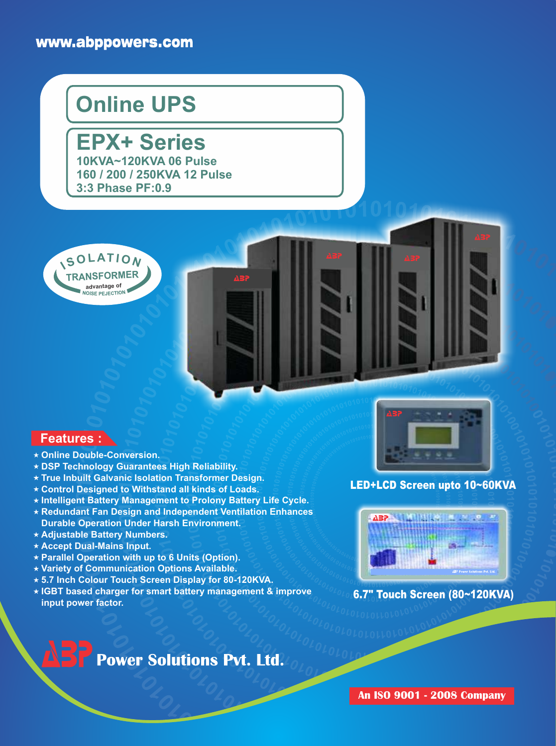### www.abppowers.com

# **Online UPS**

**EPX+ Series 10KVA~120KVA 06 Pulse 160 / 200 / 250KVA 12 Pulse 3:3 Phase PF:0.9**



#### **Features :**

- **Online Double-Conversion.**
- **DSP Technology Guarantees High Reliability.**
- **True Inbuilt Galvanic Isolation Transformer Design.**
- **Control Designed to Withstand all kinds of Loads.**
- **Intelligent Battery Management to Prolony Battery Life Cycle.**
- **Redundant Fan Design and Independent Ventilation Enhances Durable Operation Under Harsh Environment.**
- **Adjustable Battery Numbers.**
- **Accept Dual-Mains Input.**
- **Parallel Operation with up to 6 Units (Option).**
- **Variety of Communication Options Available.**
- **5.7 Inch Colour Touch Screen Display for 80-120KVA.**
- **IGBT based charger for smart battery management & improve input power factor.**



#### LED+LCD Screen upto 10~60KVA



#### 6.7" Touch Screen (80~120KVA)

# **Power Solutions Pvt. Ltd.**

**An ISO 9001 - 2008 Company**